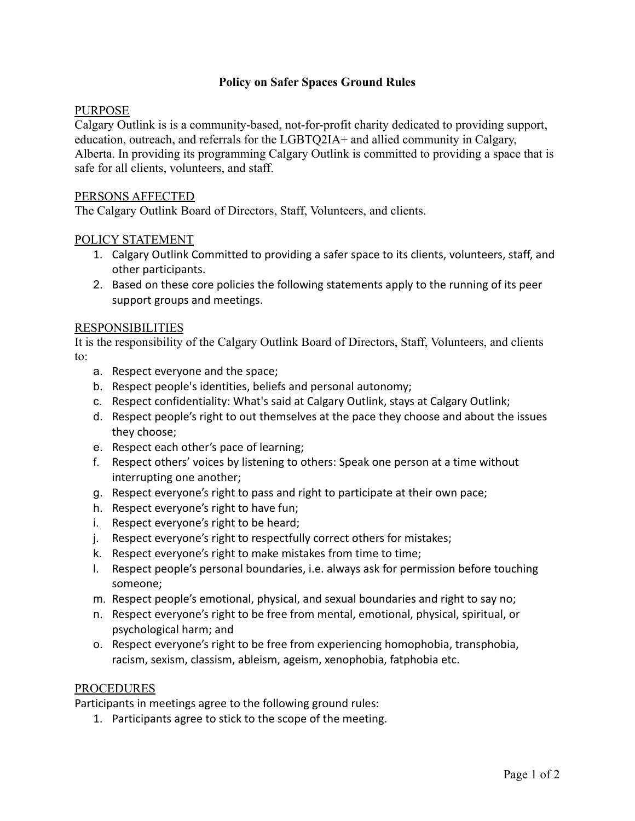## **Policy on Safer Spaces Ground Rules**

## PURPOSE

Calgary Outlink is is a community-based, not-for-profit charity dedicated to providing support, education, outreach, and referrals for the LGBTQ2IA+ and allied community in Calgary, Alberta. In providing its programming Calgary Outlink is committed to providing a space that is safe for all clients, volunteers, and staff.

### PERSONS AFFECTED

The Calgary Outlink Board of Directors, Staff, Volunteers, and clients.

### POLICY STATEMENT

- 1. Calgary Outlink Committed to providing a safer space to its clients, volunteers, staff, and other participants.
- 2. Based on these core policies the following statements apply to the running of its peer support groups and meetings.

### RESPONSIBILITIES

It is the responsibility of the Calgary Outlink Board of Directors, Staff, Volunteers, and clients to:

- a. Respect everyone and the space;
- b. Respect people's identities, beliefs and personal autonomy;
- c. Respect confidentiality: What's said at Calgary Outlink, stays at Calgary Outlink;
- d. Respect people's right to out themselves at the pace they choose and about the issues they choose;
- e. Respect each other's pace of learning;
- f. Respect others' voices by listening to others: Speak one person at a time without interrupting one another;
- g. Respect everyone's right to pass and right to participate at their own pace;
- h. Respect everyone's right to have fun;
- i. Respect everyone's right to be heard;
- j. Respect everyone's right to respectfully correct others for mistakes;
- k. Respect everyone's right to make mistakes from time to time;
- l. Respect people's personal boundaries, i.e. always ask for permission before touching someone;
- m. Respect people's emotional, physical, and sexual boundaries and right to say no;
- n. Respect everyone's right to be free from mental, emotional, physical, spiritual, or psychological harm; and
- o. Respect everyone's right to be free from experiencing homophobia, transphobia, racism, sexism, classism, ableism, ageism, xenophobia, fatphobia etc.

#### PROCEDURES

Participants in meetings agree to the following ground rules:

1. Participants agree to stick to the scope of the meeting.